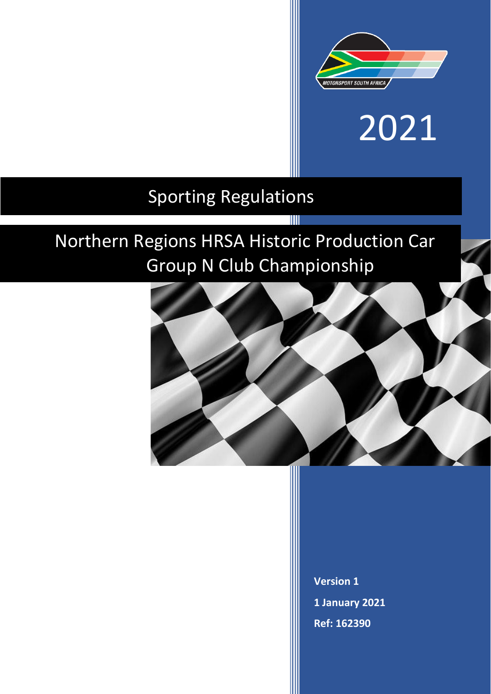

# 2021

### Sporting Regulations

## Northern Regions HRSA Historic Production Car Group N Club Championship

T



**Version 1 1 January 2021 Ref: 162390**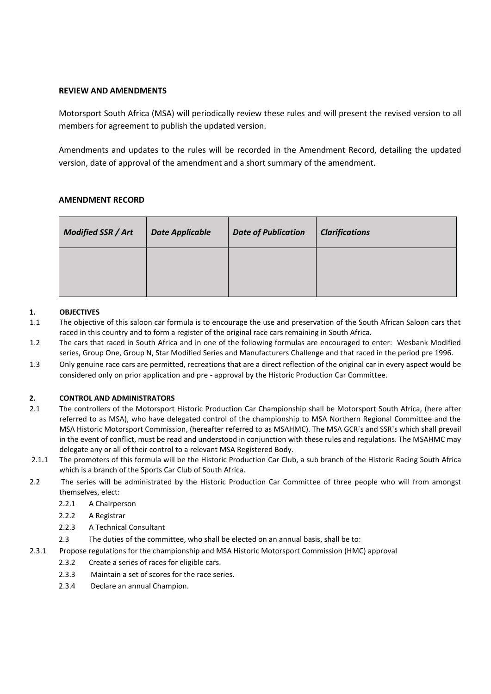#### **REVIEW AND AMENDMENTS**

Motorsport South Africa (MSA) will periodically review these rules and will present the revised version to all members for agreement to publish the updated version.

Amendments and updates to the rules will be recorded in the Amendment Record, detailing the updated version, date of approval of the amendment and a short summary of the amendment.

#### **AMENDMENT RECORD**

| Modified SSR / Art | <b>Date Applicable</b> | <b>Date of Publication</b> | <b>Clarifications</b> |
|--------------------|------------------------|----------------------------|-----------------------|
|                    |                        |                            |                       |

#### **1. OBJECTIVES**

- 1.1 The objective of this saloon car formula is to encourage the use and preservation of the South African Saloon cars that raced in this country and to form a register of the original race cars remaining in South Africa.
- 1.2 The cars that raced in South Africa and in one of the following formulas are encouraged to enter: Wesbank Modified series, Group One, Group N, Star Modified Series and Manufacturers Challenge and that raced in the period pre 1996.
- 1.3 Only genuine race cars are permitted, recreations that are a direct reflection of the original car in every aspect would be considered only on prior application and pre - approval by the Historic Production Car Committee.

#### **2. CONTROL AND ADMINISTRATORS**

- 2.1 The controllers of the Motorsport Historic Production Car Championship shall be Motorsport South Africa, (here after referred to as MSA), who have delegated control of the championship to MSA Northern Regional Committee and the MSA Historic Motorsport Commission, (hereafter referred to as MSAHMC). The MSA GCR`s and SSR`s which shall prevail in the event of conflict, must be read and understood in conjunction with these rules and regulations. The MSAHMC may delegate any or all of their control to a relevant MSA Registered Body.
- 2.1.1 The promoters of this formula will be the Historic Production Car Club, a sub branch of the Historic Racing South Africa which is a branch of the Sports Car Club of South Africa.
- 2.2 The series will be administrated by the Historic Production Car Committee of three people who will from amongst themselves, elect:
	- 2.2.1 A Chairperson
	- 2.2.2 A Registrar
	- 2.2.3 A Technical Consultant
	- 2.3 The duties of the committee, who shall be elected on an annual basis, shall be to:
- 2.3.1 Propose regulations for the championship and MSA Historic Motorsport Commission (HMC) approval
	- 2.3.2 Create a series of races for eligible cars.
	- 2.3.3 Maintain a set of scores for the race series.
	- 2.3.4 Declare an annual Champion.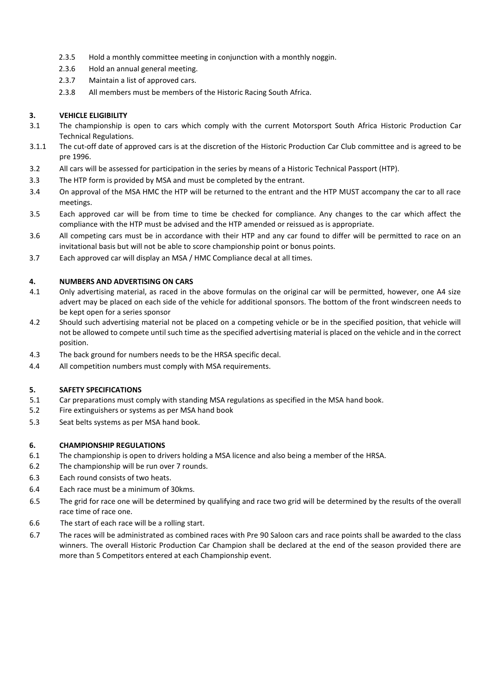- 2.3.5 Hold a monthly committee meeting in conjunction with a monthly noggin.
- 2.3.6 Hold an annual general meeting.
- 2.3.7 Maintain a list of approved cars.
- 2.3.8 All members must be members of the Historic Racing South Africa.

#### **3. VEHICLE ELIGIBILITY**

- 3.1 The championship is open to cars which comply with the current Motorsport South Africa Historic Production Car Technical Regulations.
- 3.1.1 The cut-off date of approved cars is at the discretion of the Historic Production Car Club committee and is agreed to be pre 1996.
- 3.2 All cars will be assessed for participation in the series by means of a Historic Technical Passport (HTP).
- 3.3 The HTP form is provided by MSA and must be completed by the entrant.
- 3.4 On approval of the MSA HMC the HTP will be returned to the entrant and the HTP MUST accompany the car to all race meetings.
- 3.5 Each approved car will be from time to time be checked for compliance. Any changes to the car which affect the compliance with the HTP must be advised and the HTP amended or reissued as is appropriate.
- 3.6 All competing cars must be in accordance with their HTP and any car found to differ will be permitted to race on an invitational basis but will not be able to score championship point or bonus points.
- 3.7 Each approved car will display an MSA / HMC Compliance decal at all times.

#### **4. NUMBERS AND ADVERTISING ON CARS**

- 4.1 Only advertising material, as raced in the above formulas on the original car will be permitted, however, one A4 size advert may be placed on each side of the vehicle for additional sponsors. The bottom of the front windscreen needs to be kept open for a series sponsor
- 4.2 Should such advertising material not be placed on a competing vehicle or be in the specified position, that vehicle will not be allowed to compete until such time as the specified advertising material is placed on the vehicle and in the correct position.
- 4.3 The back ground for numbers needs to be the HRSA specific decal.
- 4.4 All competition numbers must comply with MSA requirements.

#### **5. SAFETY SPECIFICATIONS**

- 5.1 Car preparations must comply with standing MSA regulations as specified in the MSA hand book.
- 5.2 Fire extinguishers or systems as per MSA hand book
- 5.3 Seat belts systems as per MSA hand book.

#### **6. CHAMPIONSHIP REGULATIONS**

- 6.1 The championship is open to drivers holding a MSA licence and also being a member of the HRSA.
- 6.2 The championship will be run over 7 rounds.
- 6.3 Each round consists of two heats.
- 6.4 Each race must be a minimum of 30kms.
- 6.5 The grid for race one will be determined by qualifying and race two grid will be determined by the results of the overall race time of race one.
- 6.6 The start of each race will be a rolling start.
- 6.7 The races will be administrated as combined races with Pre 90 Saloon cars and race points shall be awarded to the class winners. The overall Historic Production Car Champion shall be declared at the end of the season provided there are more than 5 Competitors entered at each Championship event.